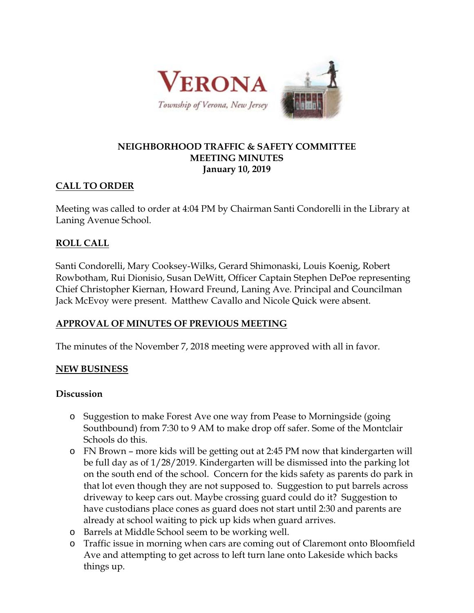

#### **NEIGHBORHOOD TRAFFIC & SAFETY COMMITTEE MEETING MINUTES January 10, 2019**

### **CALL TO ORDER**

Meeting was called to order at 4:04 PM by Chairman Santi Condorelli in the Library at Laning Avenue School.

## **ROLL CALL**

Santi Condorelli, Mary Cooksey-Wilks, Gerard Shimonaski, Louis Koenig, Robert Rowbotham, Rui Dionisio, Susan DeWitt, Officer Captain Stephen DePoe representing Chief Christopher Kiernan, Howard Freund, Laning Ave. Principal and Councilman Jack McEvoy were present. Matthew Cavallo and Nicole Quick were absent.

# **APPROVAL OF MINUTES OF PREVIOUS MEETING**

The minutes of the November 7, 2018 meeting were approved with all in favor.

### **NEW BUSINESS**

#### **Discussion**

- o Suggestion to make Forest Ave one way from Pease to Morningside (going Southbound) from 7:30 to 9 AM to make drop off safer. Some of the Montclair Schools do this.
- o FN Brown more kids will be getting out at 2:45 PM now that kindergarten will be full day as of 1/28/2019. Kindergarten will be dismissed into the parking lot on the south end of the school. Concern for the kids safety as parents do park in that lot even though they are not supposed to. Suggestion to put barrels across driveway to keep cars out. Maybe crossing guard could do it? Suggestion to have custodians place cones as guard does not start until 2:30 and parents are already at school waiting to pick up kids when guard arrives.
- o Barrels at Middle School seem to be working well.
- o Traffic issue in morning when cars are coming out of Claremont onto Bloomfield Ave and attempting to get across to left turn lane onto Lakeside which backs things up.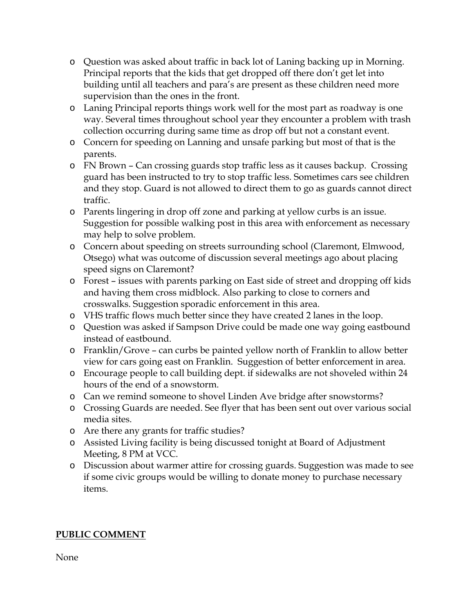- o Question was asked about traffic in back lot of Laning backing up in Morning. Principal reports that the kids that get dropped off there don't get let into building until all teachers and para's are present as these children need more supervision than the ones in the front.
- o Laning Principal reports things work well for the most part as roadway is one way. Several times throughout school year they encounter a problem with trash collection occurring during same time as drop off but not a constant event.
- o Concern for speeding on Lanning and unsafe parking but most of that is the parents.
- o FN Brown Can crossing guards stop traffic less as it causes backup. Crossing guard has been instructed to try to stop traffic less. Sometimes cars see children and they stop. Guard is not allowed to direct them to go as guards cannot direct traffic.
- o Parents lingering in drop off zone and parking at yellow curbs is an issue. Suggestion for possible walking post in this area with enforcement as necessary may help to solve problem.
- o Concern about speeding on streets surrounding school (Claremont, Elmwood, Otsego) what was outcome of discussion several meetings ago about placing speed signs on Claremont?
- o Forest issues with parents parking on East side of street and dropping off kids and having them cross midblock. Also parking to close to corners and crosswalks. Suggestion sporadic enforcement in this area.
- o VHS traffic flows much better since they have created 2 lanes in the loop.
- o Question was asked if Sampson Drive could be made one way going eastbound instead of eastbound.
- o Franklin/Grove can curbs be painted yellow north of Franklin to allow better view for cars going east on Franklin. Suggestion of better enforcement in area.
- o Encourage people to call building dept. if sidewalks are not shoveled within 24 hours of the end of a snowstorm.
- o Can we remind someone to shovel Linden Ave bridge after snowstorms?
- o Crossing Guards are needed. See flyer that has been sent out over various social media sites.
- o Are there any grants for traffic studies?
- o Assisted Living facility is being discussed tonight at Board of Adjustment Meeting, 8 PM at VCC.
- o Discussion about warmer attire for crossing guards. Suggestion was made to see if some civic groups would be willing to donate money to purchase necessary items.

# **PUBLIC COMMENT**

None